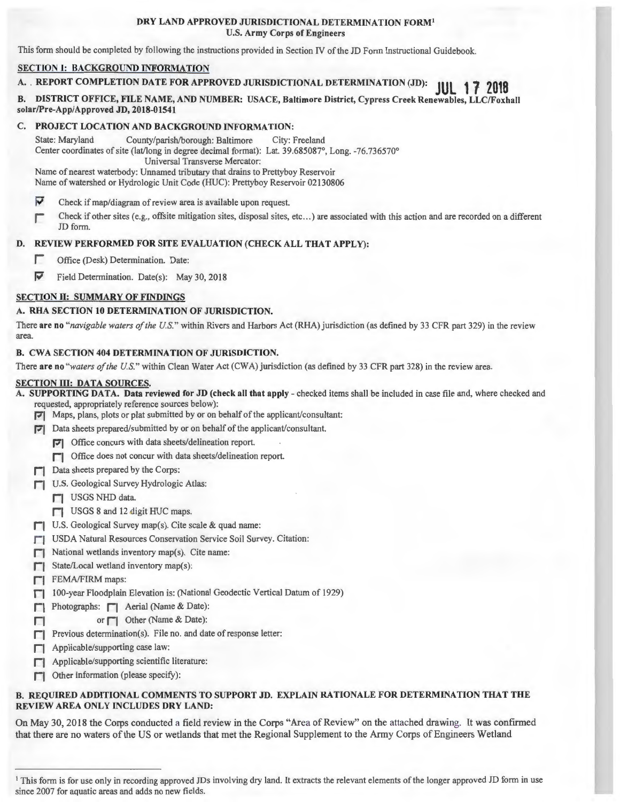#### DRY LAND APPROVED JURISDICTIONAL DETERMINATION FORM1 U.S. Army Corps of Engineers

This form should be completed by following the instructions provided in Section IV of the JD Form Instructional Guidebook.

## SECTION I: BACKGROUND INFORMATION

# A. REPORT COMPLETION DATE FOR APPROVED JURISDICTIONAL DETERMINATION (JD): **JUL 1 7 <sup>2018</sup>**

B. DISTRICT OFFICE, FILE NAME, AND NUMBER: USACE, Baltimore District, Cypress Creek Renewables, LLC/Foxhall solar/Pre-App/Approved JD, 2018-01541

## C. PROJECT LOCATION AND BACKGROUND INFORMATION:

State: Maryland County/parish/borough: Baltimore City: Freeland Center coordinates of site (lat/long in degree decimal format): Lat. 39.685087°, Long. -76.736570° Universal Transverse Mercator:

Name of nearest waterbody: Unnamed tributary that drains to Prettyboy Reservoir Name of watershed or Hydrologic Unit Code (HUC): Prettyboy Reservoir 02130806

- $\overline{\mathbf{v}}$ Check if map/diagram of review area is available upon request.
- r Check if other sites (e.g., offsite mitigation sites, disposal sites, etc ... ) are associated with this action and are recorded on a different JD form.

# D. REVIEW PERFORMED FOR SITE EVALUATION (CHECK ALL THAT APPLY):

- **T** Office (Desk) Determination. Date:
- $\blacktriangleright$  Field Determination. Date(s): May 30, 2018

## SECTION II: SUMMARY OF FINDINGS

#### A. RHA SECTION 10 DETERMINATION OF JURISDICTION.

There are no "navigable waters of the U.S." within Rivers and Harbors Act (RHA) jurisdiction (as defined by 33 CFR part 329) in the review area.

#### B. CWA SECTION 404 DETERMINATION OF JURISDICTION.

There are no *"waters of the U.S."* within Clean Water Act (CWA) jurisdiction (as defined by 33 CFR part 328) in the review area.

#### SECTION III: DATA SOURCES.

A. SUPPORTING DATA. Data reviewed for JD (check all that apply - checked items shall be included in case file and, where checked and requested, appropriately reference sources below):

- Pl Maps, plans, plots or plat submitted by or on behalf of the applicant/consultant:
- Pl Data sheets prepared/submitted by or on behalf of the applicant/consultant.
	- Pl Office concurs with data sheets/delineation report.
	- $\Box$  Office does not concur with data sheets/delineation report.
- $\Box$  Data sheets prepared by the Corps:
- **r** U.S. Geological Survey Hydrologic Atlas:
	- **r** USGS NHD data.
	- $\Box$  USGS 8 and 12 digit HUC maps.
- $\Box$  U.S. Geological Survey map(s). Cite scale & quad name:
- **[7]** USDA Natural Resources Conservation Service Soil Survey. Citation:
- $\Box$  National wetlands inventory map(s). Cite name:
- State/Local wetland inventory map(s):
- **FI** FEMA/FIRM maps:
- $\Box$  100-year Floodplain Elevation is: (National Geodectic Vertical Datum of 1929)
- $\Box$  Photographs:  $\Box$  Aerial (Name & Date):
- $\Box$  or  $\Box$  Other (Name & Date):
- $\Box$  Previous determination(s). File no. and date of response letter:
- $\Box$  Applicable/supporting case law:
- Applicable/supporting scientific literature:
- $\Box$  Other information (please specify):

## B. REQUIRED ADDITIONAL COMMENTS TO SUPPORT JD. EXPLAIN RATIONALE FOR DETERMINATION THAT THE REVIEW AREA ONLY INCLUDES DRY LAND:

On May 30, 2018 the Corps conducted a field review in the Corps "Alea of Review" on the attached drawing. It was confirmed that there are no waters of the US or wetlands that met the Regional Supplement to the Army Corps of Engineers Wetland

<sup>&</sup>lt;sup>1</sup> This form is for use only in recording approved JDs involving dry land. It extracts the relevant elements of the longer approved JD form in use since 2007 for aquatic areas and adds no new fields.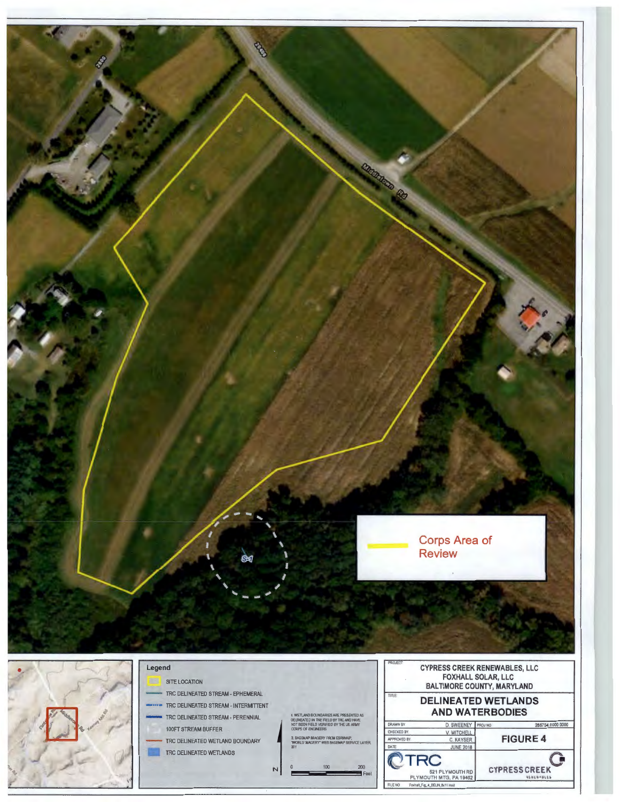